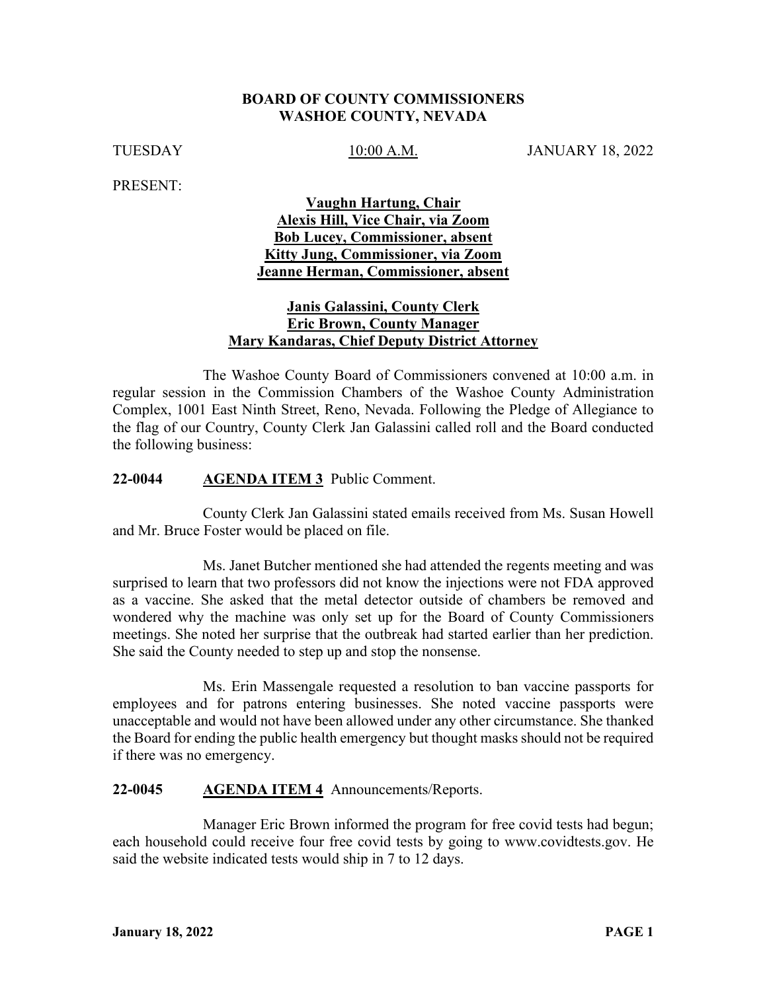### **BOARD OF COUNTY COMMISSIONERS WASHOE COUNTY, NEVADA**

TUESDAY 10:00 A.M. JANUARY 18, 2022

PRESENT:

## **Vaughn Hartung, Chair Alexis Hill, Vice Chair, via Zoom Bob Lucey, Commissioner, absent Kitty Jung, Commissioner, via Zoom Jeanne Herman, Commissioner, absent**

## **Janis Galassini, County Clerk Eric Brown, County Manager Mary Kandaras, Chief Deputy District Attorney**

The Washoe County Board of Commissioners convened at 10:00 a.m. in regular session in the Commission Chambers of the Washoe County Administration Complex, 1001 East Ninth Street, Reno, Nevada. Following the Pledge of Allegiance to the flag of our Country, County Clerk Jan Galassini called roll and the Board conducted the following business:

### **22-0044 AGENDA ITEM 3** Public Comment.

County Clerk Jan Galassini stated emails received from Ms. Susan Howell and Mr. Bruce Foster would be placed on file.

Ms. Janet Butcher mentioned she had attended the regents meeting and was surprised to learn that two professors did not know the injections were not FDA approved as a vaccine. She asked that the metal detector outside of chambers be removed and wondered why the machine was only set up for the Board of County Commissioners meetings. She noted her surprise that the outbreak had started earlier than her prediction. She said the County needed to step up and stop the nonsense.

Ms. Erin Massengale requested a resolution to ban vaccine passports for employees and for patrons entering businesses. She noted vaccine passports were unacceptable and would not have been allowed under any other circumstance. She thanked the Board for ending the public health emergency but thought masks should not be required if there was no emergency.

#### **22-0045 AGENDA ITEM 4** Announcements/Reports.

Manager Eric Brown informed the program for free covid tests had begun; each household could receive four free covid tests by going to www.covidtests.gov. He said the website indicated tests would ship in 7 to 12 days.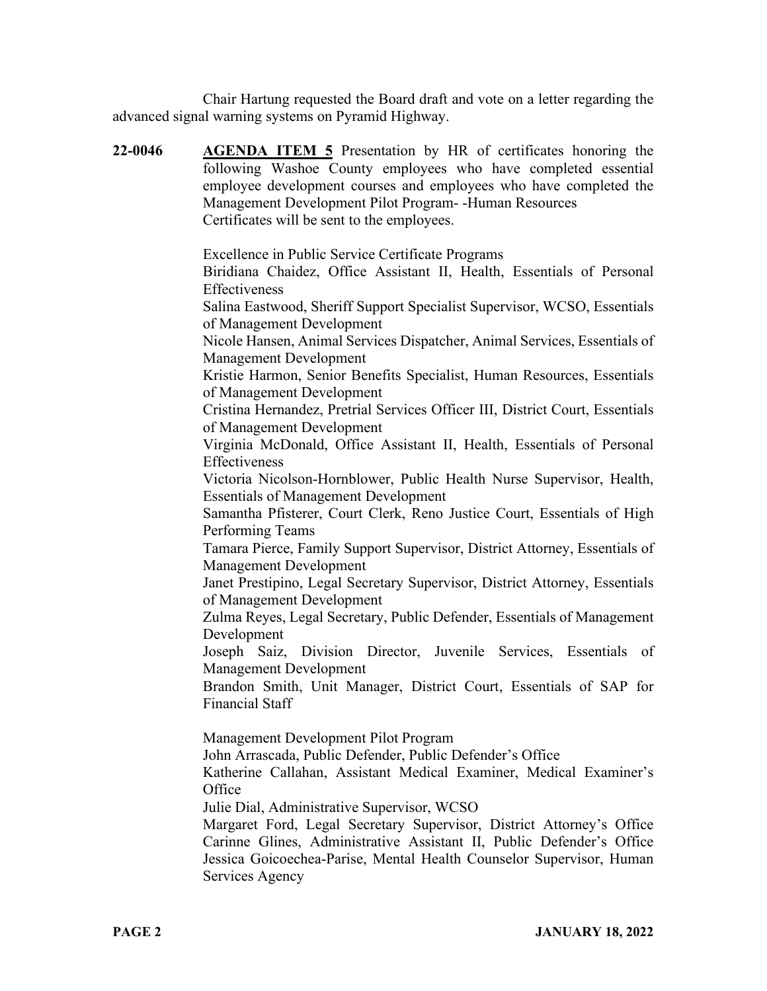Chair Hartung requested the Board draft and vote on a letter regarding the advanced signal warning systems on Pyramid Highway.

| 22-0046 | <b>AGENDA ITEM 5</b> Presentation by HR of certificates honoring the<br>following Washoe County employees who have completed essential<br>employee development courses and employees who have completed the<br>Management Development Pilot Program--Human Resources<br>Certificates will be sent to the employees. |
|---------|---------------------------------------------------------------------------------------------------------------------------------------------------------------------------------------------------------------------------------------------------------------------------------------------------------------------|
|         | Excellence in Public Service Certificate Programs<br>Biridiana Chaidez, Office Assistant II, Health, Essentials of Personal<br>Effectiveness                                                                                                                                                                        |
|         | Salina Eastwood, Sheriff Support Specialist Supervisor, WCSO, Essentials<br>of Management Development                                                                                                                                                                                                               |
|         | Nicole Hansen, Animal Services Dispatcher, Animal Services, Essentials of<br><b>Management Development</b>                                                                                                                                                                                                          |
|         | Kristie Harmon, Senior Benefits Specialist, Human Resources, Essentials<br>of Management Development                                                                                                                                                                                                                |
|         | Cristina Hernandez, Pretrial Services Officer III, District Court, Essentials<br>of Management Development                                                                                                                                                                                                          |
|         | Virginia McDonald, Office Assistant II, Health, Essentials of Personal<br>Effectiveness                                                                                                                                                                                                                             |
|         | Victoria Nicolson-Hornblower, Public Health Nurse Supervisor, Health,<br><b>Essentials of Management Development</b>                                                                                                                                                                                                |
|         | Samantha Pfisterer, Court Clerk, Reno Justice Court, Essentials of High<br>Performing Teams                                                                                                                                                                                                                         |
|         | Tamara Pierce, Family Support Supervisor, District Attorney, Essentials of<br><b>Management Development</b>                                                                                                                                                                                                         |
|         | Janet Prestipino, Legal Secretary Supervisor, District Attorney, Essentials<br>of Management Development                                                                                                                                                                                                            |
|         | Zulma Reyes, Legal Secretary, Public Defender, Essentials of Management<br>Development                                                                                                                                                                                                                              |
|         | Joseph Saiz, Division Director, Juvenile Services, Essentials<br>of<br><b>Management Development</b>                                                                                                                                                                                                                |
|         | Brandon Smith, Unit Manager, District Court, Essentials of SAP for<br><b>Financial Staff</b>                                                                                                                                                                                                                        |
|         | Management Development Pilot Program<br>John Arrascada, Public Defender, Public Defender's Office                                                                                                                                                                                                                   |
|         | Katherine Callahan, Assistant Medical Examiner, Medical Examiner's<br>Office                                                                                                                                                                                                                                        |
|         | Julie Dial, Administrative Supervisor, WCSO<br>Margaret Ford, Legal Secretary Supervisor, District Attorney's Office<br>Carinne Glines, Administrative Assistant II, Public Defender's Office<br>Jessica Goicoechea-Parise, Mental Health Counselor Supervisor, Human                                               |

Services Agency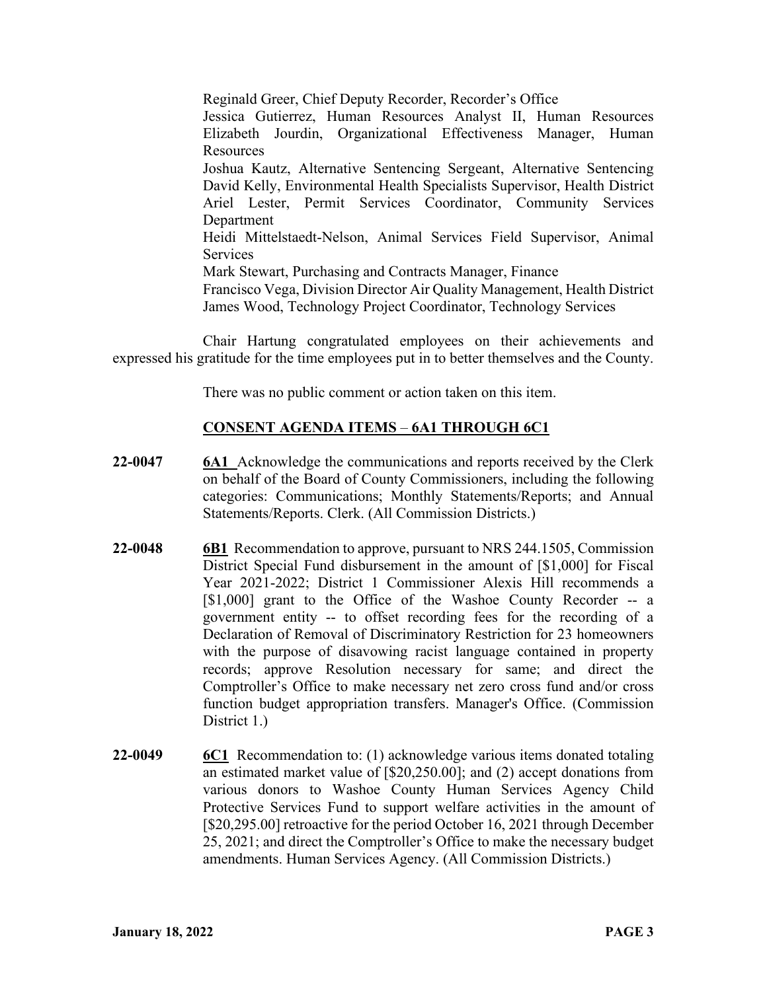Reginald Greer, Chief Deputy Recorder, Recorder's Office Jessica Gutierrez, Human Resources Analyst II, Human Resources Elizabeth Jourdin, Organizational Effectiveness Manager, Human **Resources** Joshua Kautz, Alternative Sentencing Sergeant, Alternative Sentencing David Kelly, Environmental Health Specialists Supervisor, Health District Ariel Lester, Permit Services Coordinator, Community Services Department Heidi Mittelstaedt-Nelson, Animal Services Field Supervisor, Animal **Services** Mark Stewart, Purchasing and Contracts Manager, Finance Francisco Vega, Division Director Air Quality Management, Health District James Wood, Technology Project Coordinator, Technology Services

Chair Hartung congratulated employees on their achievements and expressed his gratitude for the time employees put in to better themselves and the County.

There was no public comment or action taken on this item.

## **CONSENT AGENDA ITEMS** – **6A1 THROUGH 6C1**

- **22-0047 6A1** Acknowledge the communications and reports received by the Clerk on behalf of the Board of County Commissioners, including the following categories: Communications; Monthly Statements/Reports; and Annual Statements/Reports. Clerk. (All Commission Districts.)
- **22-0048 6B1** Recommendation to approve, pursuant to NRS 244.1505, Commission District Special Fund disbursement in the amount of [\$1,000] for Fiscal Year 2021-2022; District 1 Commissioner Alexis Hill recommends a [\$1,000] grant to the Office of the Washoe County Recorder -- a government entity -- to offset recording fees for the recording of a Declaration of Removal of Discriminatory Restriction for 23 homeowners with the purpose of disavowing racist language contained in property records; approve Resolution necessary for same; and direct the Comptroller's Office to make necessary net zero cross fund and/or cross function budget appropriation transfers. Manager's Office. (Commission District 1.)
- **22-0049 6C1** Recommendation to: (1) acknowledge various items donated totaling an estimated market value of [\$20,250.00]; and (2) accept donations from various donors to Washoe County Human Services Agency Child Protective Services Fund to support welfare activities in the amount of [\$20,295.00] retroactive for the period October 16, 2021 through December 25, 2021; and direct the Comptroller's Office to make the necessary budget amendments. Human Services Agency. (All Commission Districts.)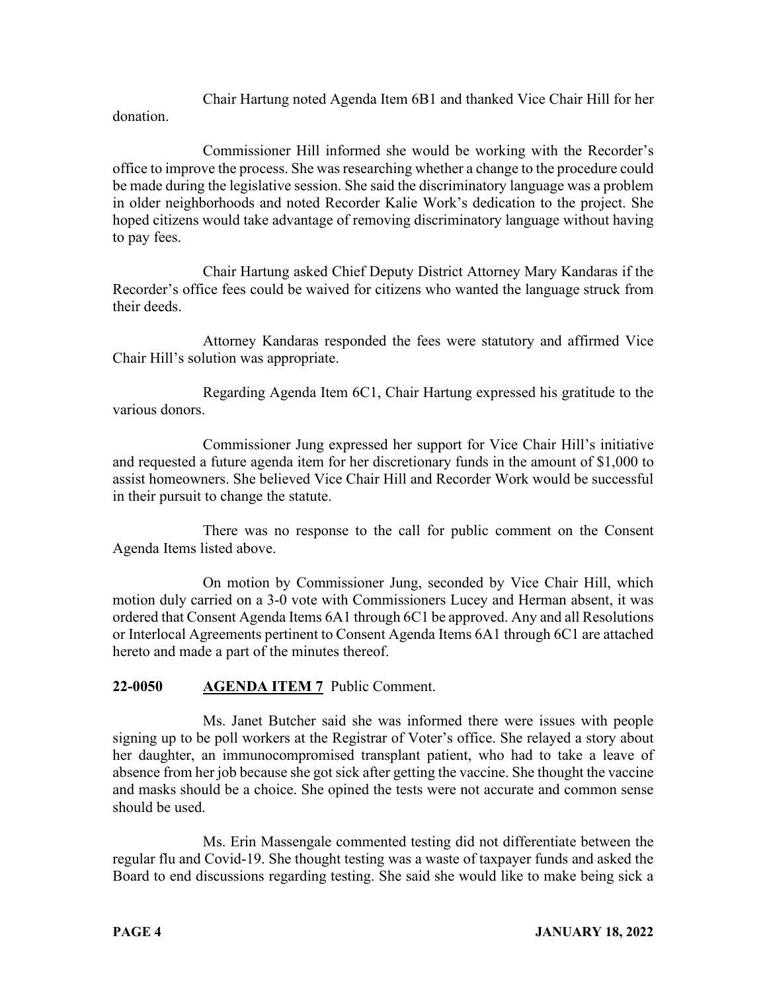Chair Hartung noted Agenda Item 6B1 and thanked Vice Chair Hill for her

donation.

Commissioner Hill informed she would be working with the Recorder's office to improve the process. She was researching whether a change to the procedure could be made during the legislative session. She said the discriminatory language was a problem in older neighborhoods and noted Recorder Kalie Work's dedication to the project. She hoped citizens would take advantage of removing discriminatory language without having to pay fees.

Chair Hartung asked Chief Deputy District Attorney Mary Kandaras if the Recorder's office fees could be waived for citizens who wanted the language struck from their deeds.

Attorney Kandaras responded the fees were statutory and affirmed Vice Chair Hill's solution was appropriate.

Regarding Agenda Item 6C1, Chair Hartung expressed his gratitude to the various donors.

Commissioner Jung expressed her support for Vice Chair Hill's initiative and requested a future agenda item for her discretionary funds in the amount of \$1,000 to assist homeowners. She believed Vice Chair Hill and Recorder Work would be successful in their pursuit to change the statute.

There was no response to the call for public comment on the Consent Agenda Items listed above.

On motion by Commissioner Jung, seconded by Vice Chair Hill, which motion duly carried on a 3-0 vote with Commissioners Lucey and Herman absent, it was ordered that Consent Agenda Items 6A1 through 6C1 be approved. Any and all Resolutions or Interlocal Agreements pertinent to Consent Agenda Items 6A1 through 6C1 are attached hereto and made a part of the minutes thereof.

# **22-0050 AGENDA ITEM 7** Public Comment.

Ms. Janet Butcher said she was informed there were issues with people signing up to be poll workers at the Registrar of Voter's office. She relayed a story about her daughter, an immunocompromised transplant patient, who had to take a leave of absence from her job because she got sick after getting the vaccine. She thought the vaccine and masks should be a choice. She opined the tests were not accurate and common sense should be used.

Ms. Erin Massengale commented testing did not differentiate between the regular flu and Covid-19. She thought testing was a waste of taxpayer funds and asked the Board to end discussions regarding testing. She said she would like to make being sick a